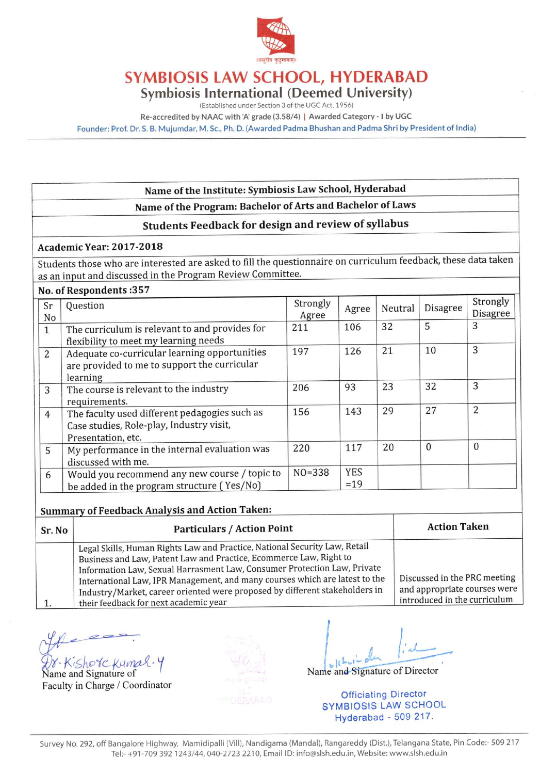

## **SYMBIOSIS LAW SCHOOL, HYDERABAD**

**Symbiosis International (Deemed University)** 

(Established under Section 3 of the UGC Act, 1956)

Re-accredited by NAAC with 'A' grade (3.58/4) | Awarded Category - I by UGC

Founder: Prof. Dr. S. B. Mujumdar, M. Sc., Ph. D. (Awarded Padma Bhushan and Padma Shri by President of India)

## Name of the Institute: Symbiosis Law School, Hyderabad

## Name of the Program: Bachelor of Arts and Bachelor of Laws

## Students Feedback for design and review of syllabus

### Academic Year: 2017-2018

Students those who are interested are asked to fill the questionnaire on curriculum feedback, these data taken as an input and discussed in the Program Review Committee.

#### No. of Respondents: 357

| Sr<br>No       | Question                                                                                                        | Strongly<br>Agree | Agree               | Neutral | Disagree     | Strongly<br>Disagree |
|----------------|-----------------------------------------------------------------------------------------------------------------|-------------------|---------------------|---------|--------------|----------------------|
| $\mathbf{1}$   | The curriculum is relevant to and provides for<br>flexibility to meet my learning needs                         | 211               | 106                 | 32      | 5            | 3                    |
| 2              | Adequate co-curricular learning opportunities<br>are provided to me to support the curricular<br>learning       | 197               | 126                 | 21      | 10           | 3                    |
| 3              | The course is relevant to the industry<br>requirements.                                                         | 206               | 93                  | 23      | 32           | 3                    |
| $\overline{4}$ | The faculty used different pedagogies such as<br>Case studies, Role-play, Industry visit,<br>Presentation, etc. | 156               | 143                 | 29      | 27           | $\overline{2}$       |
| 5              | My performance in the internal evaluation was<br>discussed with me.                                             | 220               | 117                 | 20      | $\mathbf{0}$ | $\mathbf{0}$         |
| 6              | Would you recommend any new course / topic to<br>be added in the program structure (Yes/No)                     | $NO = 338$        | <b>YES</b><br>$=19$ |         |              |                      |

#### **Summary of Feedback Analysis and Action Taken:**

| <b>Particulars / Action Point</b><br>Sr. No |                                                                                                                                                                                                                                                                                                                                                                                                                                     | <b>Action Taken</b>                                                                          |  |  |
|---------------------------------------------|-------------------------------------------------------------------------------------------------------------------------------------------------------------------------------------------------------------------------------------------------------------------------------------------------------------------------------------------------------------------------------------------------------------------------------------|----------------------------------------------------------------------------------------------|--|--|
|                                             | Legal Skills, Human Rights Law and Practice, National Security Law, Retail<br>Business and Law, Patent Law and Practice, Ecommerce Law, Right to<br>Information Law, Sexual Harrasment Law, Consumer Protection Law, Private<br>International Law, IPR Management, and many courses which are latest to the<br>Industry/Market, career oriented were proposed by different stakeholders in<br>their feedback for next academic year | Discussed in the PRC meeting<br>and appropriate courses were<br>introduced in the curriculum |  |  |

Shorekuma

Name and Signature of Faculty in Charge / Coordinator

Name and Signature of Director

**Officiating Director SYMBIOSIS LAW SCHOOL** Hyderabad - 509 217.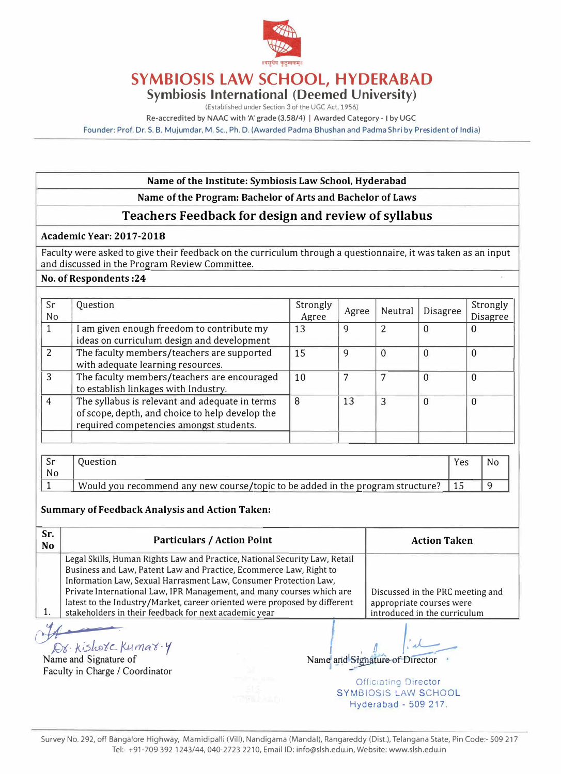

# **SYMBIOSIS LAW SCHOOL, HYDERABAD**

**Symbiosis International (Deemed University)** 

(Established under Section 3 of the UGC Act. 1956)

Re-accredited by NAAC with 'A' grade (3.58/4) I Awarded Category - I by UGC

Founder: Prof. Dr. S. B. Mujumdar, M.Sc., Ph.D. (Awarded Padma Bhushan and Padma Shri by President of India)

#### **Name of the Institute: Symbiosis Law School, Hyderabad**

### **Name of the Program: Bachelor of Arts and Bachelor of Laws**

## **Teachers Feedback for design and review of syllabus**

#### **Academic Year: 2017-2018**

Faculty were asked to give their feedback on the curriculum through a questionnaire, it was taken as an input and discussed in the Program Review Committee.

#### **No. of Respondents :24**

| Sr<br>No       | Question                                                                                                                                     | Strongly<br>Agree | Agree | Neutral | Disagree | Strongly<br><b>Disagree</b> |
|----------------|----------------------------------------------------------------------------------------------------------------------------------------------|-------------------|-------|---------|----------|-----------------------------|
|                | I am given enough freedom to contribute my<br>ideas on curriculum design and development                                                     | 13                | 9     |         | 0        | 0                           |
| $\mathcal{P}$  | The faculty members/teachers are supported<br>with adequate learning resources.                                                              | 15                | 9     | 0       | $\Omega$ | $\overline{0}$              |
| 3              | The faculty members/teachers are encouraged<br>to establish linkages with Industry.                                                          | 10                |       |         | $\Omega$ | $\mathbf{0}$                |
| $\overline{4}$ | The syllabus is relevant and adequate in terms<br>of scope, depth, and choice to help develop the<br>required competencies amongst students. | 8                 | 13    | 3       | $\Omega$ | $\Omega$                    |

| No |                                                                                | Yes | N0 |
|----|--------------------------------------------------------------------------------|-----|----|
|    | Would you recommend any new course/topic to be added in the program structure? |     |    |

#### **Summary of Feedback Analysis and Action Taken:**

| Sr.<br><b>No</b> | <b>Particulars / Action Point</b>                                                                                                                                                                                                                                                                                                                                                                                                   |  |  | <b>Action Taken</b>                                                                          |
|------------------|-------------------------------------------------------------------------------------------------------------------------------------------------------------------------------------------------------------------------------------------------------------------------------------------------------------------------------------------------------------------------------------------------------------------------------------|--|--|----------------------------------------------------------------------------------------------|
|                  | Legal Skills, Human Rights Law and Practice, National Security Law, Retail<br>Business and Law, Patent Law and Practice, Ecommerce Law, Right to<br>Information Law, Sexual Harrasment Law, Consumer Protection Law,<br>Private International Law, IPR Management, and many courses which are<br>latest to the Industry/Market, career oriented were proposed by different<br>stakeholders in their feedback for next academic year |  |  | Discussed in the PRC meeting and<br>appropriate courses were<br>introduced in the curriculum |
|                  | Dr. kishote Kumar.y<br>Faculty in Charge / Coordinator                                                                                                                                                                                                                                                                                                                                                                              |  |  | Name and Signature of Director                                                               |
|                  |                                                                                                                                                                                                                                                                                                                                                                                                                                     |  |  | <b>Officiating Director</b><br>SYMBIOSIS LAW SCHOOL<br>Hyderabad - 509 217.                  |